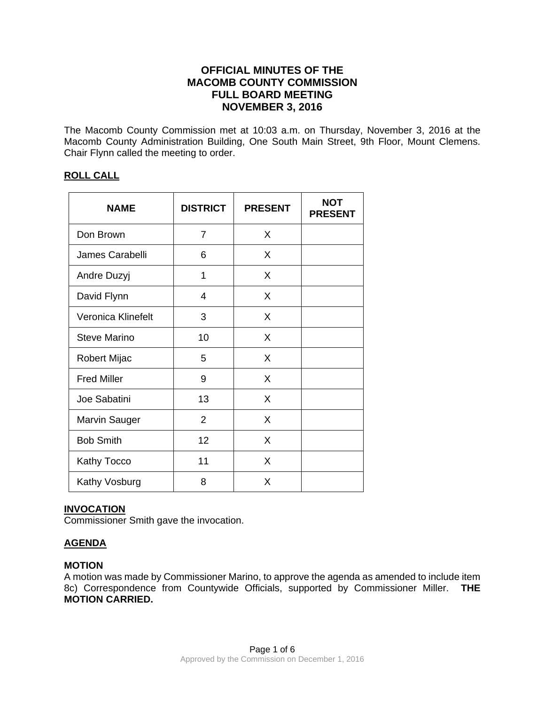# **OFFICIAL MINUTES OF THE MACOMB COUNTY COMMISSION FULL BOARD MEETING NOVEMBER 3, 2016**

The Macomb County Commission met at 10:03 a.m. on Thursday, November 3, 2016 at the Macomb County Administration Building, One South Main Street, 9th Floor, Mount Clemens. Chair Flynn called the meeting to order.

## **ROLL CALL**

| <b>NAME</b>          | <b>DISTRICT</b> | <b>PRESENT</b> | <b>NOT</b><br><b>PRESENT</b> |
|----------------------|-----------------|----------------|------------------------------|
| Don Brown            | $\overline{7}$  | X              |                              |
| James Carabelli      | 6               | X              |                              |
| Andre Duzyj          | 1               | X              |                              |
| David Flynn          | 4               | X              |                              |
| Veronica Klinefelt   | 3               | X              |                              |
| <b>Steve Marino</b>  | 10              | X              |                              |
| Robert Mijac         | 5               | X              |                              |
| <b>Fred Miller</b>   | 9               | X              |                              |
| Joe Sabatini         | 13              | X              |                              |
| <b>Marvin Sauger</b> | $\overline{2}$  | X              |                              |
| <b>Bob Smith</b>     | 12              | X              |                              |
| Kathy Tocco          | 11              | X              |                              |
| Kathy Vosburg        | 8               | X              |                              |

## **INVOCATION**

Commissioner Smith gave the invocation.

# **AGENDA**

## **MOTION**

A motion was made by Commissioner Marino, to approve the agenda as amended to include item 8c) Correspondence from Countywide Officials, supported by Commissioner Miller. **THE MOTION CARRIED.**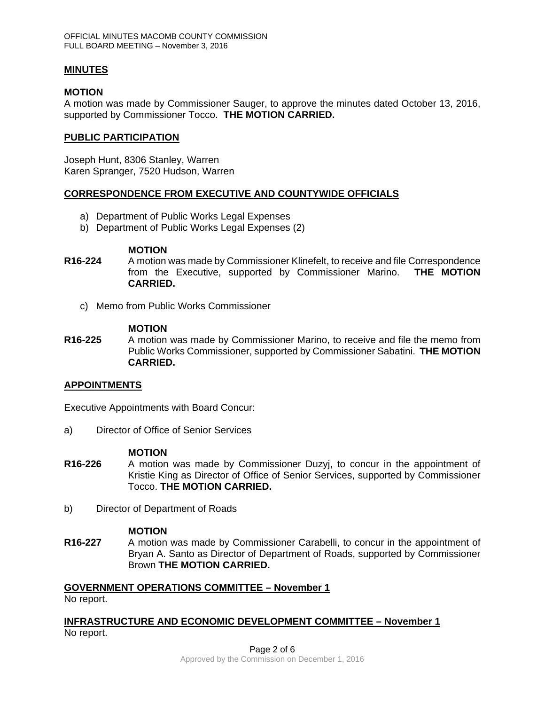### **MINUTES**

#### **MOTION**

A motion was made by Commissioner Sauger, to approve the minutes dated October 13, 2016, supported by Commissioner Tocco. **THE MOTION CARRIED.** 

### **PUBLIC PARTICIPATION**

Joseph Hunt, 8306 Stanley, Warren Karen Spranger, 7520 Hudson, Warren

### **CORRESPONDENCE FROM EXECUTIVE AND COUNTYWIDE OFFICIALS**

- a) Department of Public Works Legal Expenses
- b) Department of Public Works Legal Expenses (2)

#### **MOTION**

- **R16-224** A motion was made by Commissioner Klinefelt, to receive and file Correspondence from the Executive, supported by Commissioner Marino. **THE MOTION CARRIED.** 
	- c) Memo from Public Works Commissioner

#### **MOTION**

**R16-225** A motion was made by Commissioner Marino, to receive and file the memo from Public Works Commissioner, supported by Commissioner Sabatini. **THE MOTION CARRIED.** 

## **APPOINTMENTS**

Executive Appointments with Board Concur:

a) Director of Office of Senior Services

#### **MOTION**

- **R16-226** A motion was made by Commissioner Duzyj, to concur in the appointment of Kristie King as Director of Office of Senior Services, supported by Commissioner Tocco. **THE MOTION CARRIED.**
- b) Director of Department of Roads

#### **MOTION**

**R16-227** A motion was made by Commissioner Carabelli, to concur in the appointment of Bryan A. Santo as Director of Department of Roads, supported by Commissioner Brown **THE MOTION CARRIED.**

#### **GOVERNMENT OPERATIONS COMMITTEE – November 1**

No report.

#### **INFRASTRUCTURE AND ECONOMIC DEVELOPMENT COMMITTEE – November 1**  No report.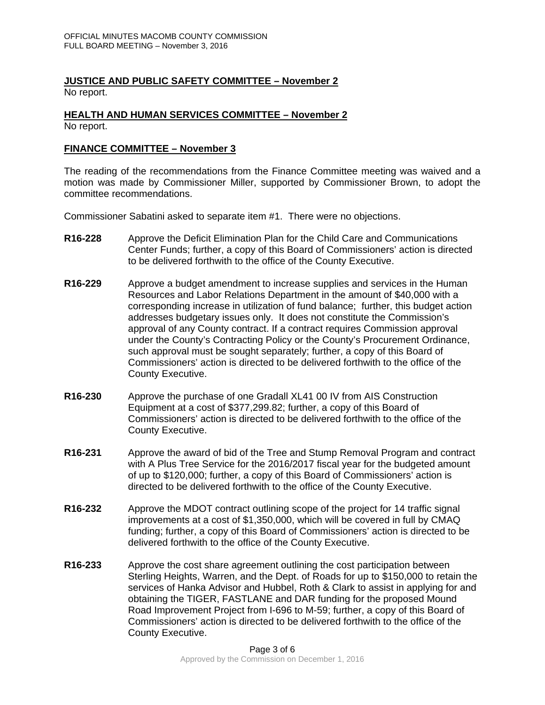#### **JUSTICE AND PUBLIC SAFETY COMMITTEE – November 2**  No report.

#### **HEALTH AND HUMAN SERVICES COMMITTEE – November 2**  No report.

## **FINANCE COMMITTEE – November 3**

The reading of the recommendations from the Finance Committee meeting was waived and a motion was made by Commissioner Miller, supported by Commissioner Brown, to adopt the committee recommendations.

Commissioner Sabatini asked to separate item #1. There were no objections.

- **R16-228** Approve the Deficit Elimination Plan for the Child Care and Communications Center Funds; further, a copy of this Board of Commissioners' action is directed to be delivered forthwith to the office of the County Executive.
- **R16-229** Approve a budget amendment to increase supplies and services in the Human Resources and Labor Relations Department in the amount of \$40,000 with a corresponding increase in utilization of fund balance; further, this budget action addresses budgetary issues only. It does not constitute the Commission's approval of any County contract. If a contract requires Commission approval under the County's Contracting Policy or the County's Procurement Ordinance, such approval must be sought separately; further, a copy of this Board of Commissioners' action is directed to be delivered forthwith to the office of the County Executive.
- **R16-230** Approve the purchase of one Gradall XL41 00 IV from AIS Construction Equipment at a cost of \$377,299.82; further, a copy of this Board of Commissioners' action is directed to be delivered forthwith to the office of the County Executive.
- **R16-231** Approve the award of bid of the Tree and Stump Removal Program and contract with A Plus Tree Service for the 2016/2017 fiscal year for the budgeted amount of up to \$120,000; further, a copy of this Board of Commissioners' action is directed to be delivered forthwith to the office of the County Executive.
- **R16-232** Approve the MDOT contract outlining scope of the project for 14 traffic signal improvements at a cost of \$1,350,000, which will be covered in full by CMAQ funding; further, a copy of this Board of Commissioners' action is directed to be delivered forthwith to the office of the County Executive.
- **R16-233** Approve the cost share agreement outlining the cost participation between Sterling Heights, Warren, and the Dept. of Roads for up to \$150,000 to retain the services of Hanka Advisor and Hubbel, Roth & Clark to assist in applying for and obtaining the TIGER, FASTLANE and DAR funding for the proposed Mound Road Improvement Project from I-696 to M-59; further, a copy of this Board of Commissioners' action is directed to be delivered forthwith to the office of the County Executive.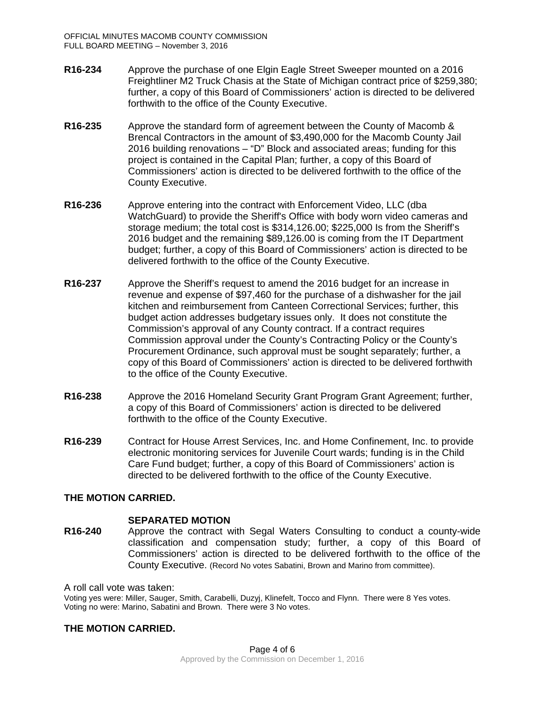- **R16-234** Approve the purchase of one Elgin Eagle Street Sweeper mounted on a 2016 Freightliner M2 Truck Chasis at the State of Michigan contract price of \$259,380; further, a copy of this Board of Commissioners' action is directed to be delivered forthwith to the office of the County Executive.
- **R16-235** Approve the standard form of agreement between the County of Macomb & Brencal Contractors in the amount of \$3,490,000 for the Macomb County Jail 2016 building renovations – "D" Block and associated areas; funding for this project is contained in the Capital Plan; further, a copy of this Board of Commissioners' action is directed to be delivered forthwith to the office of the County Executive.
- **R16-236** Approve entering into the contract with Enforcement Video, LLC (dba WatchGuard) to provide the Sheriff's Office with body worn video cameras and storage medium; the total cost is \$314,126.00; \$225,000 Is from the Sheriff's 2016 budget and the remaining \$89,126.00 is coming from the IT Department budget; further, a copy of this Board of Commissioners' action is directed to be delivered forthwith to the office of the County Executive.
- **R16-237** Approve the Sheriff's request to amend the 2016 budget for an increase in revenue and expense of \$97,460 for the purchase of a dishwasher for the jail kitchen and reimbursement from Canteen Correctional Services; further, this budget action addresses budgetary issues only. It does not constitute the Commission's approval of any County contract. If a contract requires Commission approval under the County's Contracting Policy or the County's Procurement Ordinance, such approval must be sought separately; further, a copy of this Board of Commissioners' action is directed to be delivered forthwith to the office of the County Executive.
- **R16-238** Approve the 2016 Homeland Security Grant Program Grant Agreement; further, a copy of this Board of Commissioners' action is directed to be delivered forthwith to the office of the County Executive.
- **R16-239** Contract for House Arrest Services, Inc. and Home Confinement, Inc. to provide electronic monitoring services for Juvenile Court wards; funding is in the Child Care Fund budget; further, a copy of this Board of Commissioners' action is directed to be delivered forthwith to the office of the County Executive.

## **THE MOTION CARRIED.**

#### **SEPARATED MOTION**

**R16-240** Approve the contract with Segal Waters Consulting to conduct a county-wide classification and compensation study; further, a copy of this Board of Commissioners' action is directed to be delivered forthwith to the office of the County Executive. (Record No votes Sabatini, Brown and Marino from committee).

A roll call vote was taken:

Voting yes were: Miller, Sauger, Smith, Carabelli, Duzyj, Klinefelt, Tocco and Flynn. There were 8 Yes votes. Voting no were: Marino, Sabatini and Brown. There were 3 No votes.

## **THE MOTION CARRIED.**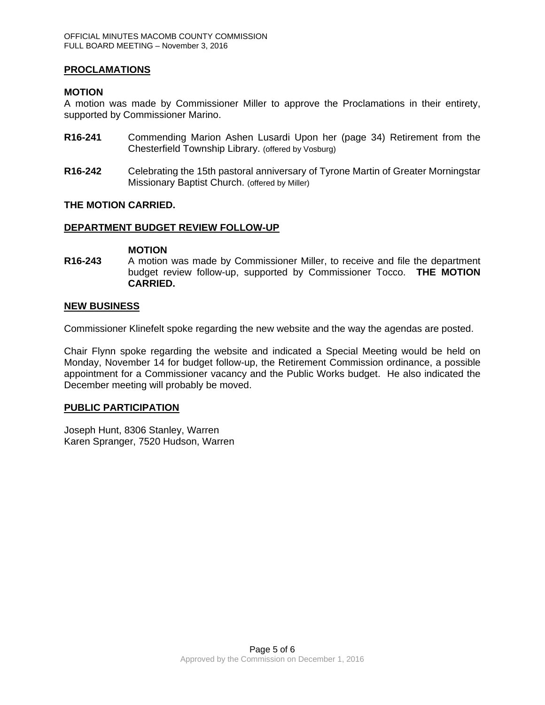### **PROCLAMATIONS**

### **MOTION**

A motion was made by Commissioner Miller to approve the Proclamations in their entirety, supported by Commissioner Marino.

- **R16-241** Commending Marion Ashen Lusardi Upon her (page 34) Retirement from the Chesterfield Township Library. (offered by Vosburg)
- **R16-242** Celebrating the 15th pastoral anniversary of Tyrone Martin of Greater Morningstar Missionary Baptist Church. (offered by Miller)

#### **THE MOTION CARRIED.**

### **DEPARTMENT BUDGET REVIEW FOLLOW-UP**

**MOTION** 

**R16-243** A motion was made by Commissioner Miller, to receive and file the department budget review follow-up, supported by Commissioner Tocco. **THE MOTION CARRIED.** 

#### **NEW BUSINESS**

Commissioner Klinefelt spoke regarding the new website and the way the agendas are posted.

Chair Flynn spoke regarding the website and indicated a Special Meeting would be held on Monday, November 14 for budget follow-up, the Retirement Commission ordinance, a possible appointment for a Commissioner vacancy and the Public Works budget. He also indicated the December meeting will probably be moved.

#### **PUBLIC PARTICIPATION**

Joseph Hunt, 8306 Stanley, Warren Karen Spranger, 7520 Hudson, Warren